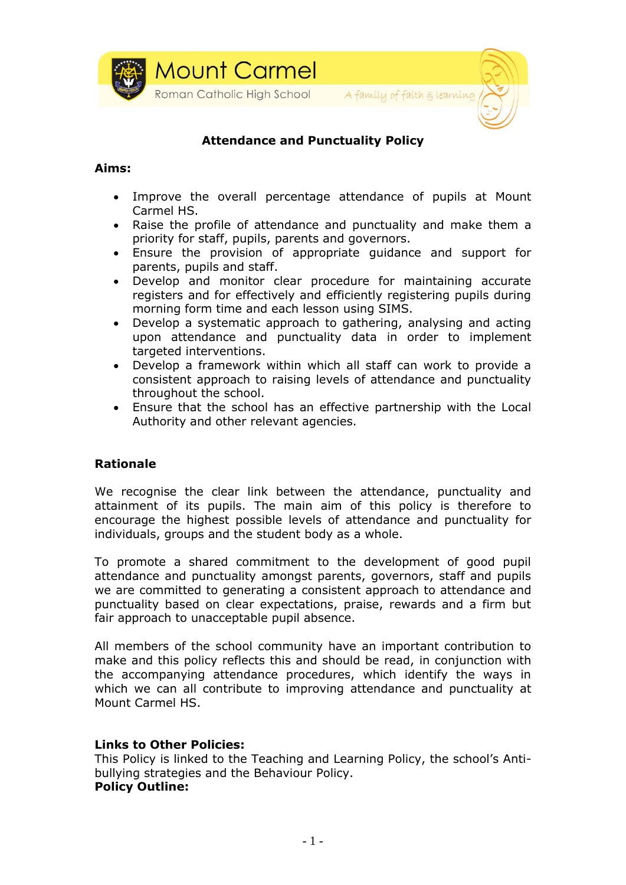



## **Attendance and Punctuality Policy**

#### **Aims:**

- Improve the overall percentage attendance of pupils at Mount Carmel HS.
- Raise the profile of attendance and punctuality and make them a priority for staff, pupils, parents and governors.
- Ensure the provision of appropriate guidance and support for parents, pupils and staff.
- Develop and monitor clear procedure for maintaining accurate registers and for effectively and efficiently registering pupils during morning form time and each lesson using SIMS.
- Develop a systematic approach to gathering, analysing and acting upon attendance and punctuality data in order to implement targeted interventions.
- Develop a framework within which all staff can work to provide a consistent approach to raising levels of attendance and punctuality throughout the school.
- Ensure that the school has an effective partnership with the Local Authority and other relevant agencies.

#### **Rationale**

We recognise the clear link between the attendance, punctuality and attainment of its pupils. The main aim of this policy is therefore to encourage the highest possible levels of attendance and punctuality for individuals, groups and the student body as a whole.

To promote a shared commitment to the development of good pupil attendance and punctuality amongst parents, governors, staff and pupils we are committed to generating a consistent approach to attendance and punctuality based on clear expectations, praise, rewards and a firm but fair approach to unacceptable pupil absence.

All members of the school community have an important contribution to make and this policy reflects this and should be read, in conjunction with the accompanying attendance procedures, which identify the ways in which we can all contribute to improving attendance and punctuality at Mount Carmel HS.

#### **Links to Other Policies:**

This Policy is linked to the Teaching and Learning Policy, the school's Antibullying strategies and the Behaviour Policy. **Policy Outline:**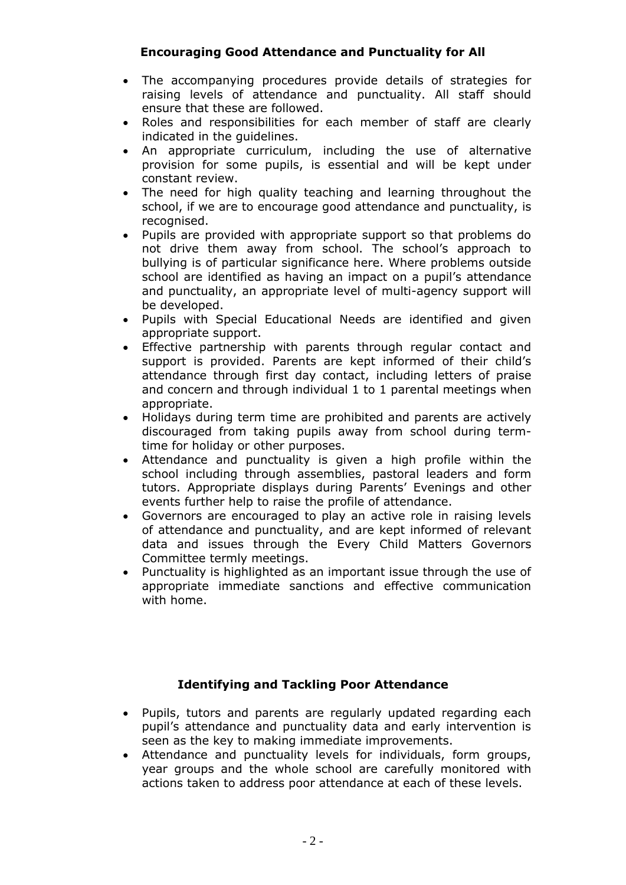## **Encouraging Good Attendance and Punctuality for All**

- The accompanying procedures provide details of strategies for raising levels of attendance and punctuality. All staff should ensure that these are followed.
- Roles and responsibilities for each member of staff are clearly indicated in the guidelines.
- An appropriate curriculum, including the use of alternative provision for some pupils, is essential and will be kept under constant review.
- The need for high quality teaching and learning throughout the school, if we are to encourage good attendance and punctuality, is recognised.
- Pupils are provided with appropriate support so that problems do not drive them away from school. The school's approach to bullying is of particular significance here. Where problems outside school are identified as having an impact on a pupil's attendance and punctuality, an appropriate level of multi-agency support will be developed.
- Pupils with Special Educational Needs are identified and given appropriate support.
- Effective partnership with parents through regular contact and support is provided. Parents are kept informed of their child's attendance through first day contact, including letters of praise and concern and through individual 1 to 1 parental meetings when appropriate.
- Holidays during term time are prohibited and parents are actively discouraged from taking pupils away from school during termtime for holiday or other purposes.
- Attendance and punctuality is given a high profile within the school including through assemblies, pastoral leaders and form tutors. Appropriate displays during Parents' Evenings and other events further help to raise the profile of attendance.
- Governors are encouraged to play an active role in raising levels of attendance and punctuality, and are kept informed of relevant data and issues through the Every Child Matters Governors Committee termly meetings.
- Punctuality is highlighted as an important issue through the use of appropriate immediate sanctions and effective communication with home.

## **Identifying and Tackling Poor Attendance**

- Pupils, tutors and parents are regularly updated regarding each pupil's attendance and punctuality data and early intervention is seen as the key to making immediate improvements.
- Attendance and punctuality levels for individuals, form groups, year groups and the whole school are carefully monitored with actions taken to address poor attendance at each of these levels.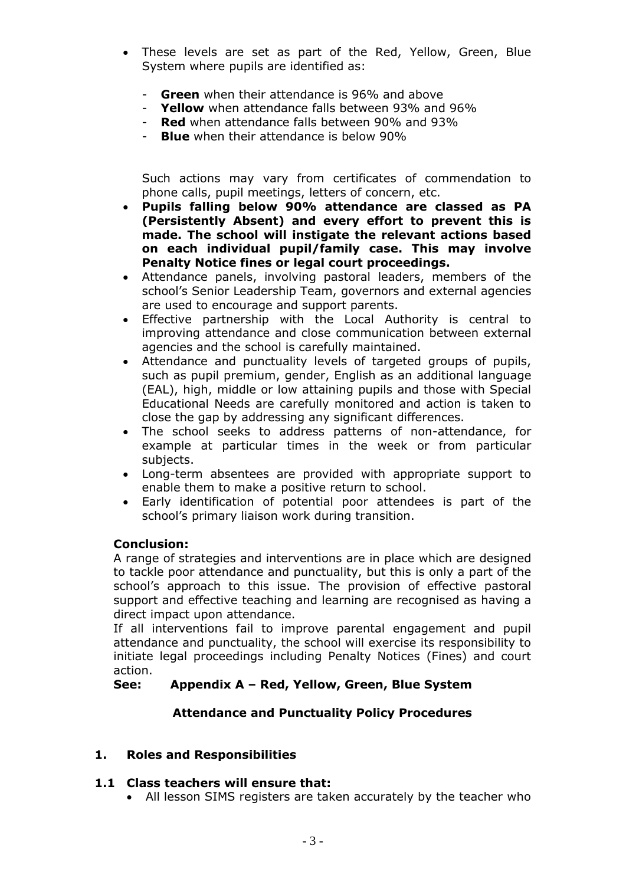- These levels are set as part of the Red, Yellow, Green, Blue System where pupils are identified as:
	- **Green** when their attendance is 96% and above
	- **Yellow** when attendance falls between 93% and 96%
	- **Red** when attendance falls between 90% and 93%
	- **Blue** when their attendance is below 90%

Such actions may vary from certificates of commendation to phone calls, pupil meetings, letters of concern, etc.

- **Pupils falling below 90% attendance are classed as PA (Persistently Absent) and every effort to prevent this is made. The school will instigate the relevant actions based on each individual pupil/family case. This may involve Penalty Notice fines or legal court proceedings.**
- Attendance panels, involving pastoral leaders, members of the school's Senior Leadership Team, governors and external agencies are used to encourage and support parents.
- Effective partnership with the Local Authority is central to improving attendance and close communication between external agencies and the school is carefully maintained.
- Attendance and punctuality levels of targeted groups of pupils, such as pupil premium, gender, English as an additional language (EAL), high, middle or low attaining pupils and those with Special Educational Needs are carefully monitored and action is taken to close the gap by addressing any significant differences.
- The school seeks to address patterns of non-attendance, for example at particular times in the week or from particular subjects.
- Long-term absentees are provided with appropriate support to enable them to make a positive return to school.
- Early identification of potential poor attendees is part of the school's primary liaison work during transition.

#### **Conclusion:**

A range of strategies and interventions are in place which are designed to tackle poor attendance and punctuality, but this is only a part of the school's approach to this issue. The provision of effective pastoral support and effective teaching and learning are recognised as having a direct impact upon attendance.

If all interventions fail to improve parental engagement and pupil attendance and punctuality, the school will exercise its responsibility to initiate legal proceedings including Penalty Notices (Fines) and court action.

#### **See: Appendix A – Red, Yellow, Green, Blue System**

#### **Attendance and Punctuality Policy Procedures**

#### **1. Roles and Responsibilities**

#### **1.1 Class teachers will ensure that:**

• All lesson SIMS registers are taken accurately by the teacher who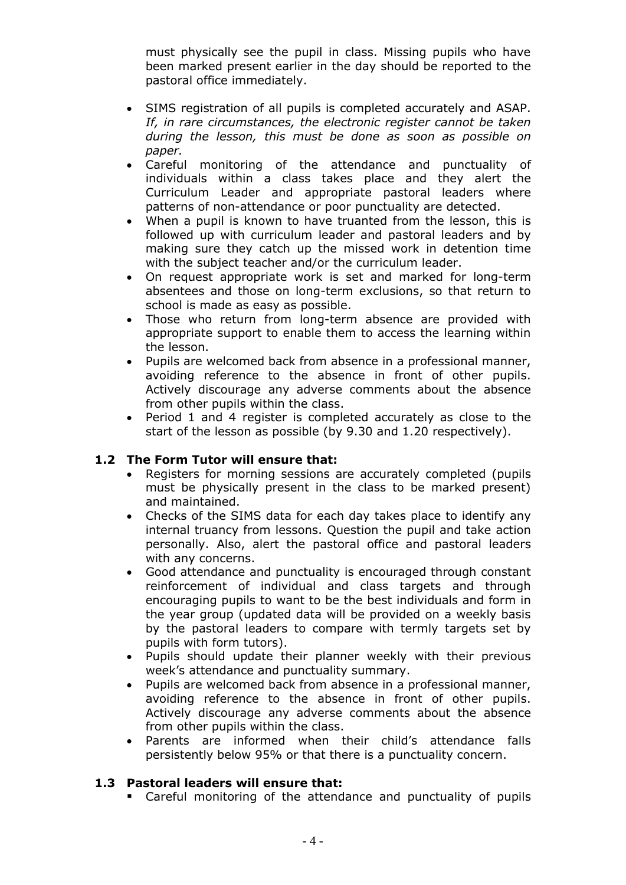must physically see the pupil in class. Missing pupils who have been marked present earlier in the day should be reported to the pastoral office immediately.

- SIMS registration of all pupils is completed accurately and ASAP. *If, in rare circumstances, the electronic register cannot be taken during the lesson, this must be done as soon as possible on paper.*
- Careful monitoring of the attendance and punctuality of individuals within a class takes place and they alert the Curriculum Leader and appropriate pastoral leaders where patterns of non-attendance or poor punctuality are detected.
- When a pupil is known to have truanted from the lesson, this is followed up with curriculum leader and pastoral leaders and by making sure they catch up the missed work in detention time with the subject teacher and/or the curriculum leader.
- On request appropriate work is set and marked for long-term absentees and those on long-term exclusions, so that return to school is made as easy as possible.
- Those who return from long-term absence are provided with appropriate support to enable them to access the learning within the lesson.
- Pupils are welcomed back from absence in a professional manner, avoiding reference to the absence in front of other pupils. Actively discourage any adverse comments about the absence from other pupils within the class.
- Period 1 and 4 register is completed accurately as close to the start of the lesson as possible (by 9.30 and 1.20 respectively).

## **1.2 The Form Tutor will ensure that:**

- Registers for morning sessions are accurately completed (pupils must be physically present in the class to be marked present) and maintained.
- Checks of the SIMS data for each day takes place to identify any internal truancy from lessons. Question the pupil and take action personally. Also, alert the pastoral office and pastoral leaders with any concerns.
- Good attendance and punctuality is encouraged through constant reinforcement of individual and class targets and through encouraging pupils to want to be the best individuals and form in the year group (updated data will be provided on a weekly basis by the pastoral leaders to compare with termly targets set by pupils with form tutors).
- Pupils should update their planner weekly with their previous week's attendance and punctuality summary.
- Pupils are welcomed back from absence in a professional manner, avoiding reference to the absence in front of other pupils. Actively discourage any adverse comments about the absence from other pupils within the class.
- Parents are informed when their child's attendance falls persistently below 95% or that there is a punctuality concern.

## **1.3 Pastoral leaders will ensure that:**

■ Careful monitoring of the attendance and punctuality of pupils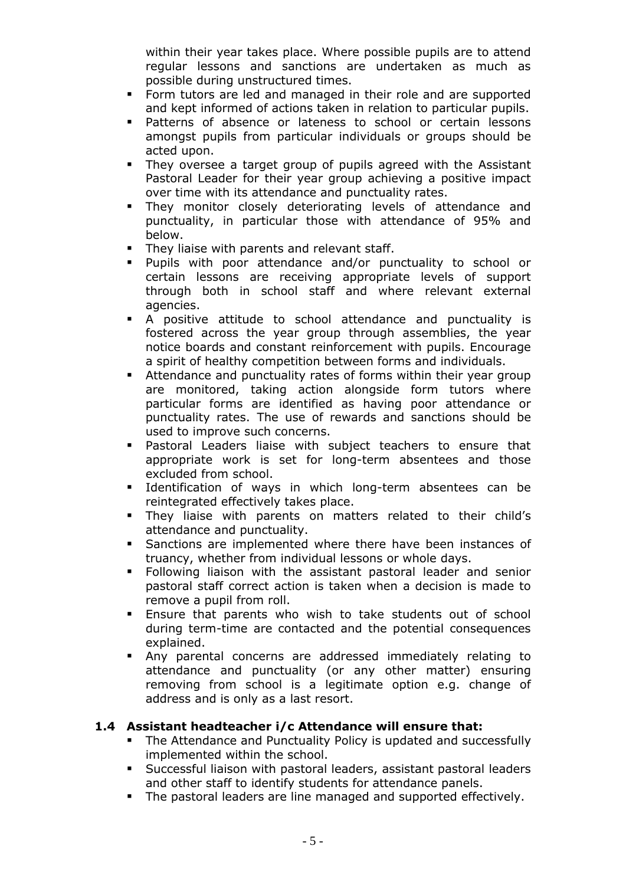within their year takes place. Where possible pupils are to attend regular lessons and sanctions are undertaken as much as possible during unstructured times.

- Form tutors are led and managed in their role and are supported and kept informed of actions taken in relation to particular pupils.
- Patterns of absence or lateness to school or certain lessons amongst pupils from particular individuals or groups should be acted upon.
- They oversee a target group of pupils agreed with the Assistant Pastoral Leader for their year group achieving a positive impact over time with its attendance and punctuality rates.
- They monitor closely deteriorating levels of attendance and punctuality, in particular those with attendance of 95% and below.
- **They liaise with parents and relevant staff.**
- Pupils with poor attendance and/or punctuality to school or certain lessons are receiving appropriate levels of support through both in school staff and where relevant external agencies.
- A positive attitude to school attendance and punctuality is fostered across the year group through assemblies, the year notice boards and constant reinforcement with pupils. Encourage a spirit of healthy competition between forms and individuals.
- Attendance and punctuality rates of forms within their year group are monitored, taking action alongside form tutors where particular forms are identified as having poor attendance or punctuality rates. The use of rewards and sanctions should be used to improve such concerns.
- Pastoral Leaders liaise with subject teachers to ensure that appropriate work is set for long-term absentees and those excluded from school.
- **EXEC** Identification of ways in which long-term absentees can be reintegrated effectively takes place.
- They liaise with parents on matters related to their child's attendance and punctuality.
- **EXE** Sanctions are implemented where there have been instances of truancy, whether from individual lessons or whole days.
- Following liaison with the assistant pastoral leader and senior pastoral staff correct action is taken when a decision is made to remove a pupil from roll.
- **Ensure that parents who wish to take students out of school** during term-time are contacted and the potential consequences explained.
- Any parental concerns are addressed immediately relating to attendance and punctuality (or any other matter) ensuring removing from school is a legitimate option e.g. change of address and is only as a last resort.

## **1.4 Assistant headteacher i/c Attendance will ensure that:**

- The Attendance and Punctuality Policy is updated and successfully implemented within the school.
- Successful liaison with pastoral leaders, assistant pastoral leaders and other staff to identify students for attendance panels.
- **The pastoral leaders are line managed and supported effectively.**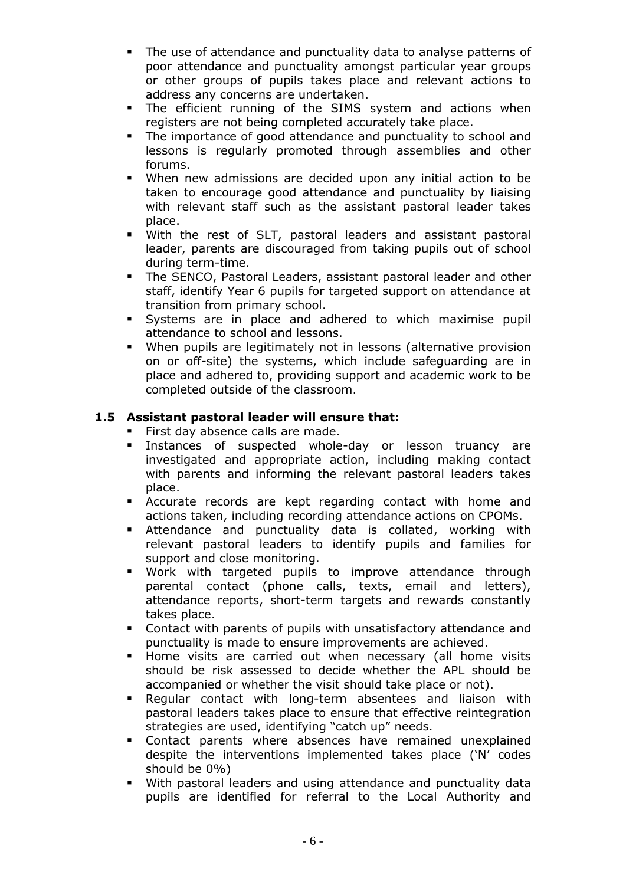- The use of attendance and punctuality data to analyse patterns of poor attendance and punctuality amongst particular year groups or other groups of pupils takes place and relevant actions to address any concerns are undertaken.
- The efficient running of the SIMS system and actions when registers are not being completed accurately take place.
- **•** The importance of good attendance and punctuality to school and lessons is regularly promoted through assemblies and other forums.
- When new admissions are decided upon any initial action to be taken to encourage good attendance and punctuality by liaising with relevant staff such as the assistant pastoral leader takes place.
- With the rest of SLT, pastoral leaders and assistant pastoral leader, parents are discouraged from taking pupils out of school during term-time.
- **The SENCO, Pastoral Leaders, assistant pastoral leader and other** staff, identify Year 6 pupils for targeted support on attendance at transition from primary school.
- Systems are in place and adhered to which maximise pupil attendance to school and lessons.
- **■** When pupils are legitimately not in lessons (alternative provision on or off-site) the systems, which include safeguarding are in place and adhered to, providing support and academic work to be completed outside of the classroom.

## **1.5 Assistant pastoral leader will ensure that:**

- **First day absence calls are made.**
- Instances of suspected whole-day or lesson truancy are investigated and appropriate action, including making contact with parents and informing the relevant pastoral leaders takes place.
- **EXECUTE:** Accurate records are kept regarding contact with home and actions taken, including recording attendance actions on CPOMs.
- **E** Attendance and punctuality data is collated, working with relevant pastoral leaders to identify pupils and families for support and close monitoring.
- Work with targeted pupils to improve attendance through parental contact (phone calls, texts, email and letters), attendance reports, short-term targets and rewards constantly takes place.
- Contact with parents of pupils with unsatisfactory attendance and punctuality is made to ensure improvements are achieved.
- **E** Home visits are carried out when necessary (all home visits should be risk assessed to decide whether the APL should be accompanied or whether the visit should take place or not).
- Regular contact with long-term absentees and liaison with pastoral leaders takes place to ensure that effective reintegration strategies are used, identifying "catch up" needs.
- Contact parents where absences have remained unexplained despite the interventions implemented takes place ('N' codes should be 0%)
- **■** With pastoral leaders and using attendance and punctuality data pupils are identified for referral to the Local Authority and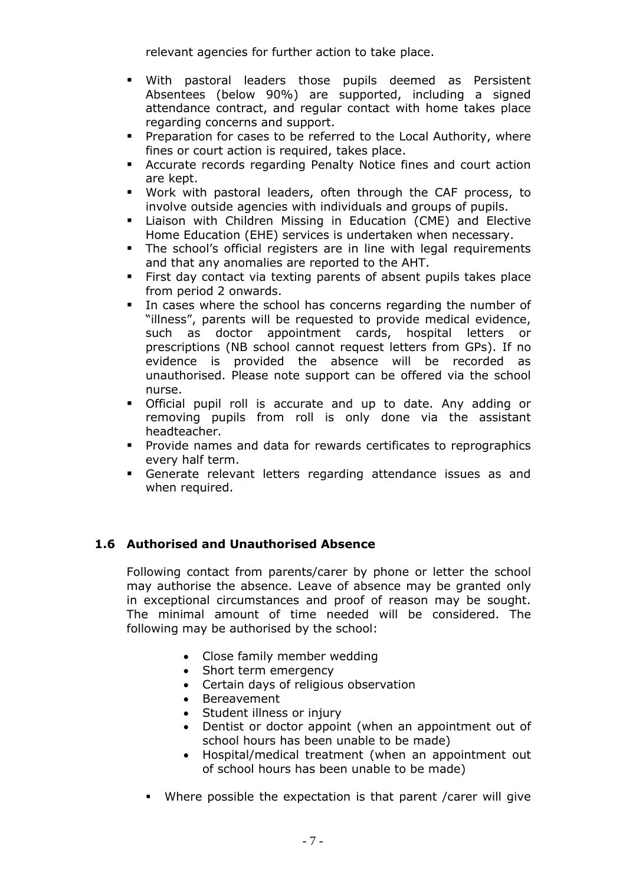relevant agencies for further action to take place.

- With pastoral leaders those pupils deemed as Persistent Absentees (below 90%) are supported, including a signed attendance contract, and regular contact with home takes place regarding concerns and support.
- Preparation for cases to be referred to the Local Authority, where fines or court action is required, takes place.
- **E** Accurate records regarding Penalty Notice fines and court action are kept.
- Work with pastoral leaders, often through the CAF process, to involve outside agencies with individuals and groups of pupils.
- **E.** Liaison with Children Missing in Education (CME) and Elective Home Education (EHE) services is undertaken when necessary.
- The school's official registers are in line with legal requirements and that any anomalies are reported to the AHT.
- **EXTER** First day contact via texting parents of absent pupils takes place from period 2 onwards.
- In cases where the school has concerns regarding the number of "illness", parents will be requested to provide medical evidence, such as doctor appointment cards, hospital letters or prescriptions (NB school cannot request letters from GPs). If no evidence is provided the absence will be recorded as unauthorised. Please note support can be offered via the school nurse.
- Official pupil roll is accurate and up to date. Any adding or removing pupils from roll is only done via the assistant headteacher.
- Provide names and data for rewards certificates to reprographics every half term.
- Generate relevant letters regarding attendance issues as and when required.

#### **1.6 Authorised and Unauthorised Absence**

Following contact from parents/carer by phone or letter the school may authorise the absence. Leave of absence may be granted only in exceptional circumstances and proof of reason may be sought. The minimal amount of time needed will be considered. The following may be authorised by the school:

- Close family member wedding
- Short term emergency
- Certain days of religious observation
- Bereavement
- Student illness or injury
- Dentist or doctor appoint (when an appointment out of school hours has been unable to be made)
- Hospital/medical treatment (when an appointment out of school hours has been unable to be made)
- Where possible the expectation is that parent /carer will give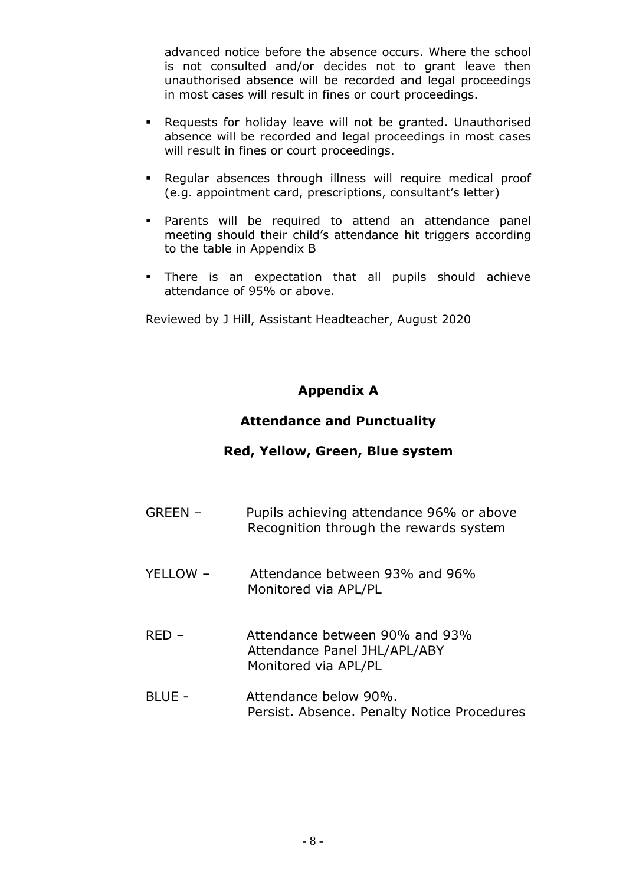advanced notice before the absence occurs. Where the school is not consulted and/or decides not to grant leave then unauthorised absence will be recorded and legal proceedings in most cases will result in fines or court proceedings.

- Requests for holiday leave will not be granted. Unauthorised absence will be recorded and legal proceedings in most cases will result in fines or court proceedings.
- Regular absences through illness will require medical proof (e.g. appointment card, prescriptions, consultant's letter)
- Parents will be required to attend an attendance panel meeting should their child's attendance hit triggers according to the table in Appendix B
- There is an expectation that all pupils should achieve attendance of 95% or above.

Reviewed by J Hill, Assistant Headteacher, August 2020

## **Appendix A**

## **Attendance and Punctuality**

## **Red, Yellow, Green, Blue system**

- GREEN Pupils achieving attendance 96% or above Recognition through the rewards system
- YELLOW Attendance between 93% and 96% Monitored via APL/PL
- RED Attendance between 90% and 93% Attendance Panel JHL/APL/ABY Monitored via APL/PL
- BLUE Attendance below 90%. Persist. Absence. Penalty Notice Procedures